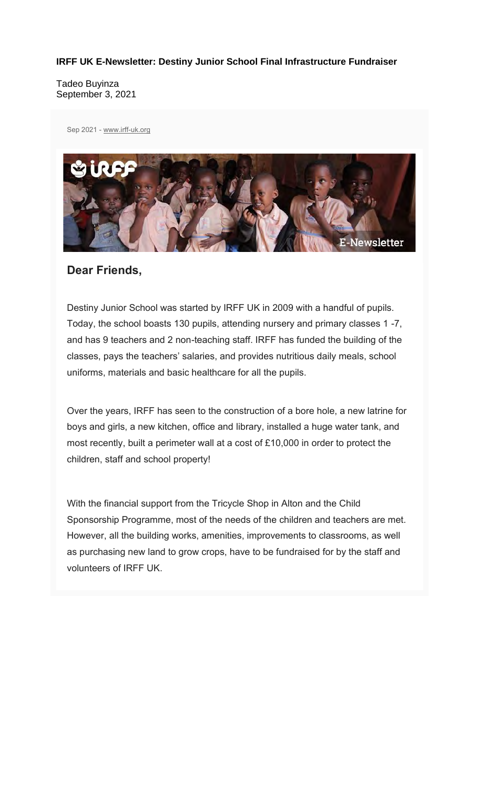#### **IRFF UK E-Newsletter: Destiny Junior School Final Infrastructure Fundraiser**

Tadeo Buyinza September 3, 2021

Sep 2021 - www.irff-uk.org



#### **Dear Friends,**

Destiny Junior School was started by IRFF UK in 2009 with a handful of pupils. Today, the school boasts 130 pupils, attending nursery and primary classes 1 -7, and has 9 teachers and 2 non-teaching staff. IRFF has funded the building of the classes, pays the teachers' salaries, and provides nutritious daily meals, school uniforms, materials and basic healthcare for all the pupils.

Over the years, IRFF has seen to the construction of a bore hole, a new latrine for boys and girls, a new kitchen, office and library, installed a huge water tank, and most recently, built a perimeter wall at a cost of £10,000 in order to protect the children, staff and school property!

With the financial support from the Tricycle Shop in Alton and the Child Sponsorship Programme, most of the needs of the children and teachers are met. However, all the building works, amenities, improvements to classrooms, as well as purchasing new land to grow crops, have to be fundraised for by the staff and volunteers of IRFF UK.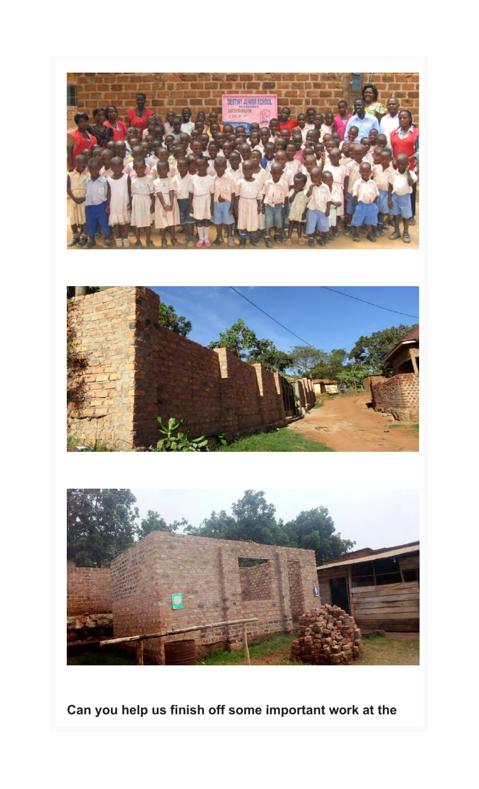

**Can you help us finish off some important work at the**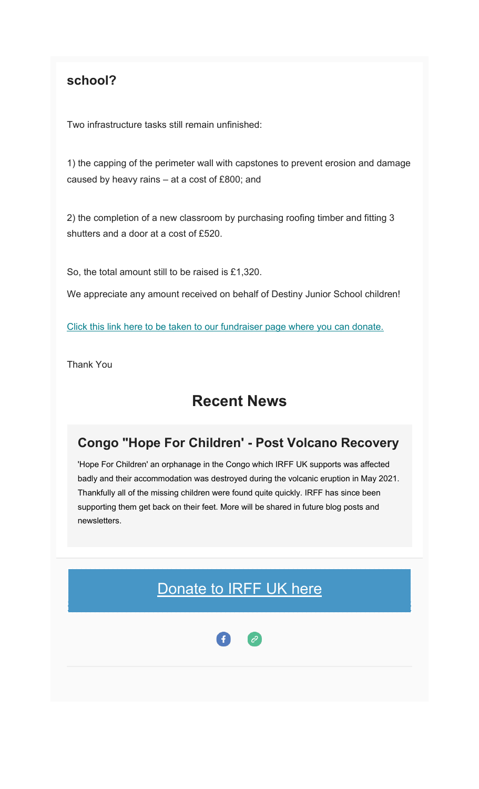### **school?**

Two infrastructure tasks still remain unfinished:

1) the capping of the perimeter wall with capstones to prevent erosion and damage caused by heavy rains – at a cost of £800; and

2) the completion of a new classroom by purchasing roofing timber and fitting 3 shutters and a door at a cost of £520.

So, the total amount still to be raised is £1,320.

We appreciate any amount received on behalf of Destiny Junior School children!

Click this link here to be taken to our fundraiser page where you can donate.

Thank You

## **Recent News**

#### **Congo "Hope For Children' - Post Volcano Recovery**

'Hope For Children' an orphanage in the Congo which IRFF UK supports was affected badly and their accommodation was destroyed during the volcanic eruption in May 2021. Thankfully all of the missing children were found quite quickly. IRFF has since been supporting them get back on their feet. More will be shared in future blog posts and newsletters.

## Donate to **IRFF UK** here